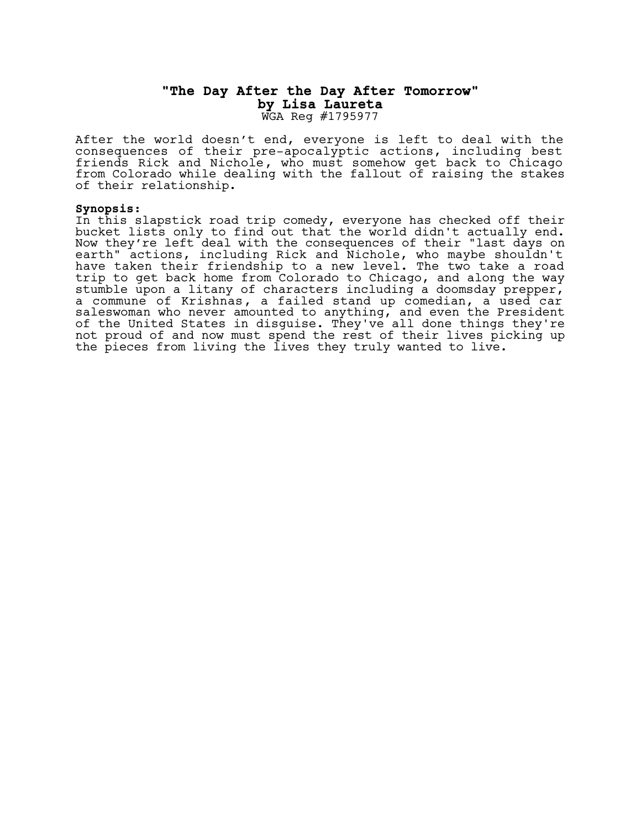## **"The Day After the Day After Tomorrow" by Lisa Laureta** WGA Reg #1795977

After the world doesn't end, everyone is left to deal with the consequences of their pre-apocalyptic actions, including best friends Rick and Nichole, who must somehow get back to Chicago from Colorado while dealing with the fallout of raising the stakes of their relationship.

## **Synopsis:**

In this slapstick road trip comedy, everyone has checked off their bucket lists only to find out that the world didn't actually end. Now they're left deal with the consequences of their "last days on earth" actions, including Rick and Nichole, who maybe shouldn't have taken their friendship to a new level. The two take a road trip to get back home from Colorado to Chicago, and along the way stumble upon a litany of characters including a doomsday prepper, a commune of Krishnas, a failed stand up comedian, a used car saleswoman who never amounted to anything, and even the President of the United States in disguise. They've all done things they're not proud of and now must spend the rest of their lives picking up the pieces from living the lives they truly wanted to live.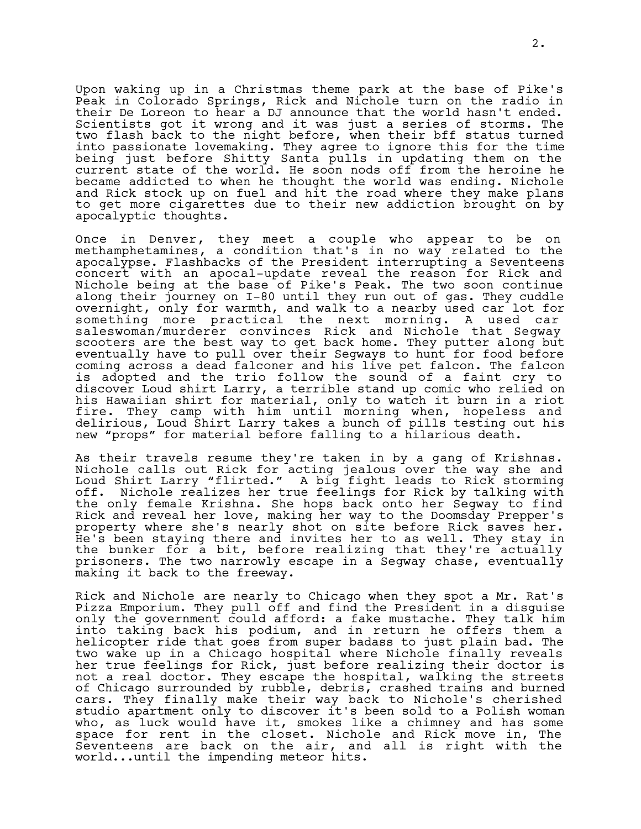Upon waking up in a Christmas theme park at the base of Pike's Peak in Colorado Springs, Rick and Nichole turn on the radio in their De Loreon to hear a DJ announce that the world hasn't ended. Scientists got it wrong and it was just a series of storms. The two flash back to the night before, when their bff status turned into passionate lovemaking. They agree to ignore this for the time being just before Shitty Santa pulls in updating them on the current state of the world. He soon nods off from the heroine he became addicted to when he thought the world was ending. Nichole and Rick stock up on fuel and hit the road where they make plans to get more cigarettes due to their new addiction brought on by apocalyptic thoughts.

Once in Denver, they meet a couple who appear to be on methamphetamines, a condition that's in no way related to the apocalypse. Flashbacks of the President interrupting a Seventeens concert with an apocal-update reveal the reason for Rick and Nichole being at the base of Pike's Peak. The two soon continue along their journey on I-80 until they run out of gas. They cuddle overnight, only for warmth, and walk to a nearby used car lot for something more practical the next morning. A used car saleswoman/murderer convinces Rick and Nichole that Segway scooters are the best way to get back home. They putter along but eventually have to pull over their Segways to hunt for food before coming across a dead falconer and his live pet falcon. The falcon is adopted and the trio follow the sound of a faint cry to discover Loud shirt Larry, a terrible stand up comic who relied on his Hawaiian shirt for material, only to watch it burn in a riot fire. They camp with him until morning when, hopeless and delirious, Loud Shirt Larry takes a bunch of pills testing out his new "props" for material before falling to a hilarious death.

As their travels resume they're taken in by a gang of Krishnas. Nichole calls out Rick for acting jealous over the way she and Loud Shirt Larry "flirted." A big fight leads to Rick storming off. Nichole realizes her true feelings for Rick by talking with the only female Krishna. She hops back onto her Segway to find Rick and reveal her love, making her way to the Doomsday Prepper's property where she's nearly shot on site before Rick saves her. He's been staying there and invites her to as well. They stay in the bunker for a bit, before realizing that they're actually prisoners. The two narrowly escape in a Segway chase, eventually making it back to the freeway.

Rick and Nichole are nearly to Chicago when they spot a Mr. Rat's Pizza Emporium. They pull off and find the President in a disguise only the government could afford: a fake mustache. They talk him into taking back his podium, and in return he offers them a helicopter ride that goes from super badass to just plain bad. The two wake up in a Chicago hospital where Nichole finally reveals her true feelings for Rick, just before realizing their doctor is not a real doctor. They escape the hospital, walking the streets of Chicago surrounded by rubble, debris, crashed trains and burned cars. They finally make their way back to Nichole's cherished studio apartment only to discover it's been sold to a Polish woman who, as luck would have it, smokes like a chimney and has some space for rent in the closet. Nichole and Rick move in, The Seventeens are back on the air, and all is right with the world...until the impending meteor hits.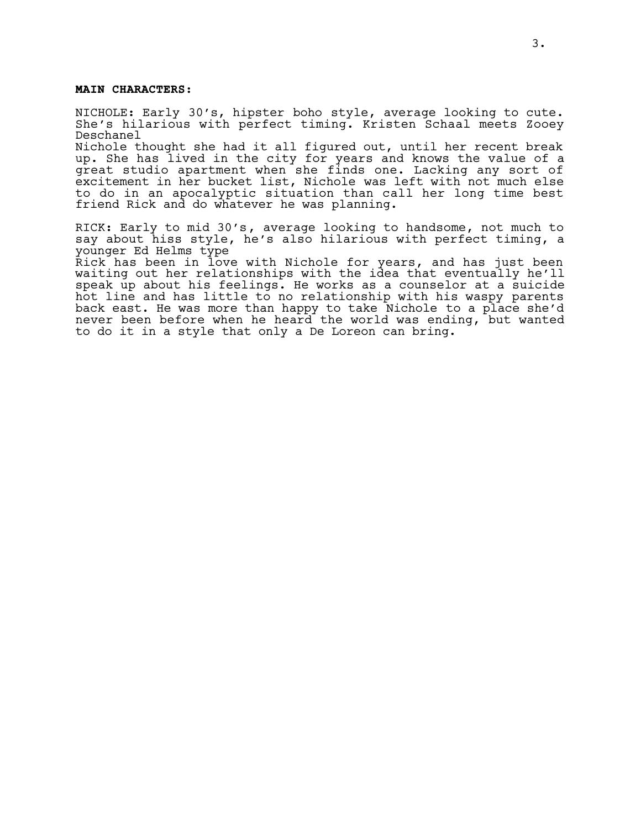## **MAIN CHARACTERS:**

NICHOLE: Early 30's, hipster boho style, average looking to cute. She's hilarious with perfect timing. Kristen Schaal meets Zooey Deschanel

Nichole thought she had it all figured out, until her recent break up. She has lived in the city for years and knows the value of a great studio apartment when she finds one. Lacking any sort of excitement in her bucket list, Nichole was left with not much else to do in an apocalyptic situation than call her long time best friend Rick and do whatever he was planning.

RICK: Early to mid 30's, average looking to handsome, not much to say about hiss style, he's also hilarious with perfect timing, a younger Ed Helms type

Rick has been in love with Nichole for years, and has just been waiting out her relationships with the idea that eventually he'll speak up about his feelings. He works as a counselor at a suicide hot line and has little to no relationship with his waspy parents back east. He was more than happy to take Nichole to a place she'd never been before when he heard the world was ending, but wanted to do it in a style that only a De Loreon can bring.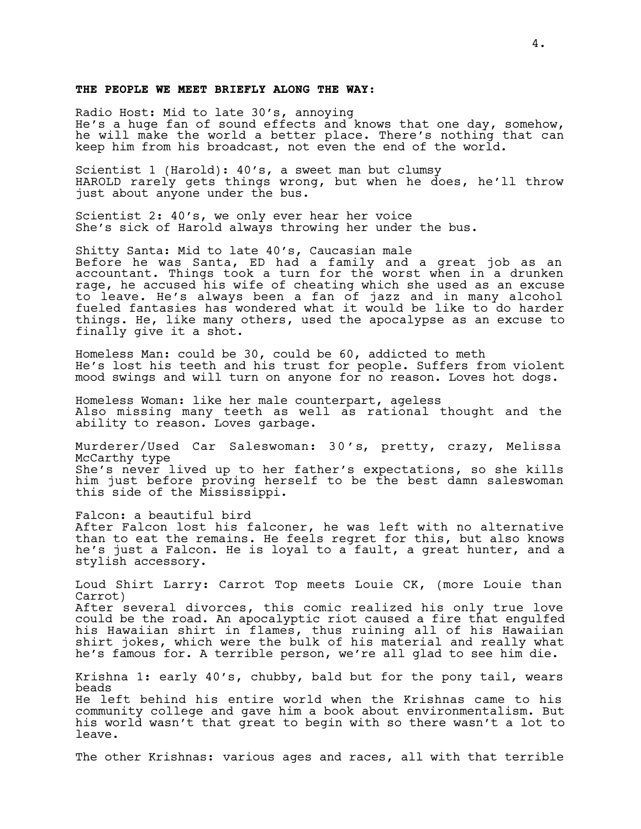## **THE PEOPLE WE MEET BRIEFLY ALONG THE WAY:**

Radio Host: Mid to late 30's, annoying He's a huge fan of sound effects and knows that one day, somehow, he will make the world a better place. There's nothing that can keep him from his broadcast, not even the end of the world.

Scientist 1 (Harold): 40's, a sweet man but clumsy HAROLD rarely gets things wrong, but when he does, he'll throw just about anyone under the bus.

Scientist 2: 40's, we only ever hear her voice She's sick of Harold always throwing her under the bus.

Shitty Santa: Mid to late 40's, Caucasian male Before he was Santa, ED had a family and a great job as an accountant. Things took a turn for the worst when in a drunken rage, he accused his wife of cheating which she used as an excuse to leave. He's always been a fan of jazz and in many alcohol fueled fantasies has wondered what it would be like to do harder things. He, like many others, used the apocalypse as an excuse to finally give it a shot.

Homeless Man: could be 30, could be 60, addicted to meth He's lost his teeth and his trust for people. Suffers from violent mood swings and will turn on anyone for no reason. Loves hot dogs.

Homeless Woman: like her male counterpart, ageless Also missing many teeth as well as rational thought and the ability to reason. Loves garbage.

Murderer/Used Car Saleswoman: 30's, pretty, crazy, Melissa McCarthy type She's never lived up to her father's expectations, so she kills him just before proving herself to be the best damn saleswoman this side of the Mississippi.

Falcon: a beautiful bird After Falcon lost his falconer, he was left with no alternative than to eat the remains. He feels regret for this, but also knows he's just a Falcon. He is loyal to a fault, a great hunter, and a stylish accessory.

Loud Shirt Larry: Carrot Top meets Louie CK, (more Louie than Carrot) After several divorces, this comic realized his only true love could be the road. An apocalyptic riot caused a fire that engulfed his Hawaiian shirt in flames, thus ruining all of his Hawaiian shirt jokes, which were the bulk of his material and really what he's famous for. A terrible person, we're all glad to see him die.

Krishna 1: early 40's, chubby, bald but for the pony tail, wears beads He left behind his entire world when the Krishnas came to his community college and gave him a book about environmentalism. But his world wasn't that great to begin with so there wasn't a lot to leave.

The other Krishnas: various ages and races, all with that terrible